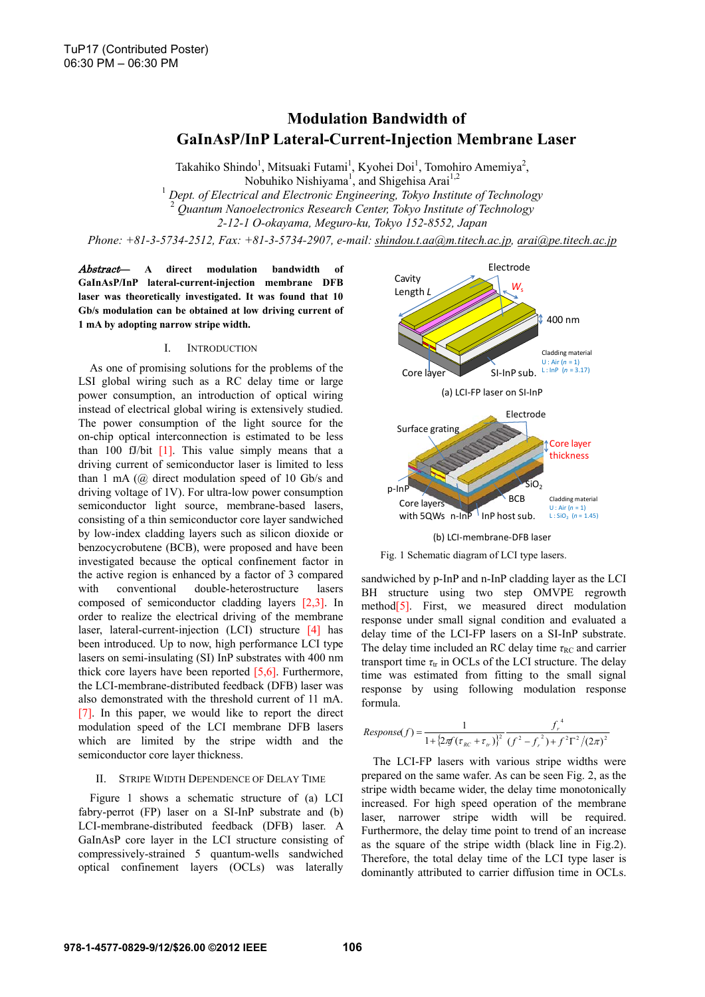# **Modulation Bandwidth of GaInAsP/InP Lateral-Current-Injection Membrane Laser**

Takahiko Shindo<sup>1</sup>, Mitsuaki Futami<sup>1</sup>, Kyohei Doi<sup>1</sup>, Tomohiro Amemiya<sup>2</sup>, Nobuhiko Nishiyama<sup>1</sup>, and Shigehisa Arai<sup>1,2</sup> <sup>1</sup> Dept. of Electrical and Electronic Engineering, Tokyo Institute of Technology <sup>2</sup> *Quantum Nanoelectronics Research Center, Tokyo Institute of Technology* 

*2-12-1 O-okayama, Meguro-ku, Tokyo 152-8552, Japan* 

*Phone: +81-3-5734-2512, Fax: +81-3-5734-2907, e-mail: shindou.t.aa@m.titech.ac.jp, arai@pe.titech.ac.jp*

Abstract— **A direct modulation bandwidth of GaInAsP/InP lateral-current-injection membrane DFB laser was theoretically investigated. It was found that 10 Gb/s modulation can be obtained at low driving current of 1 mA by adopting narrow stripe width.** 

### I. INTRODUCTION

As one of promising solutions for the problems of the LSI global wiring such as a RC delay time or large power consumption, an introduction of optical wiring instead of electrical global wiring is extensively studied. The power consumption of the light source for the on-chip optical interconnection is estimated to be less than 100 fJ/bit [1]. This value simply means that a driving current of semiconductor laser is limited to less than 1 mA (@ direct modulation speed of 10 Gb/s and driving voltage of 1V). For ultra-low power consumption semiconductor light source, membrane-based lasers, consisting of a thin semiconductor core layer sandwiched by low-index cladding layers such as silicon dioxide or benzocycrobutene (BCB), were proposed and have been investigated because the optical confinement factor in the active region is enhanced by a factor of 3 compared with conventional double-heterostructure lasers composed of semiconductor cladding layers [2,3]. In order to realize the electrical driving of the membrane laser, lateral-current-injection (LCI) structure [4] has been introduced. Up to now, high performance LCI type lasers on semi-insulating (SI) InP substrates with 400 nm thick core layers have been reported [5,6]. Furthermore, the LCI-membrane-distributed feedback (DFB) laser was also demonstrated with the threshold current of 11 mA. [7]. In this paper, we would like to report the direct modulation speed of the LCI membrane DFB lasers which are limited by the stripe width and the semiconductor core layer thickness.

### II. STRIPE WIDTH DEPENDENCE OF DELAY TIME

Figure 1 shows a schematic structure of (a) LCI fabry-perrot (FP) laser on a SI-InP substrate and (b) LCI-membrane-distributed feedback (DFB) laser. A GaInAsP core layer in the LCI structure consisting of compressively-strained 5 quantum-wells sandwiched optical confinement layers (OCLs) was laterally



## (b) LCI‐membrane‐DFB laser



sandwiched by p-InP and n-InP cladding layer as the LCI BH structure using two step OMVPE regrowth method<sup>[5]</sup>. First, we measured direct modulation response under small signal condition and evaluated a delay time of the LCI-FP lasers on a SI-InP substrate. The delay time included an RC delay time  $\tau_{RC}$  and carrier transport time  $\tau_{tr}$  in OCLs of the LCI structure. The delay time was estimated from fitting to the small signal response by using following modulation response formula.

$$
Response(f) = \frac{1}{1 + \left\{2\pi f(\tau_{RC} + \tau_{tr})\right\}^2} \frac{f_r^4}{(f^2 - f_r^2) + f^2 \Gamma^2 / (2\pi)^2}
$$

The LCI-FP lasers with various stripe widths were prepared on the same wafer. As can be seen Fig. 2, as the stripe width became wider, the delay time monotonically increased. For high speed operation of the membrane laser, narrower stripe width will be required. Furthermore, the delay time point to trend of an increase as the square of the stripe width (black line in Fig.2). Therefore, the total delay time of the LCI type laser is dominantly attributed to carrier diffusion time in OCLs.